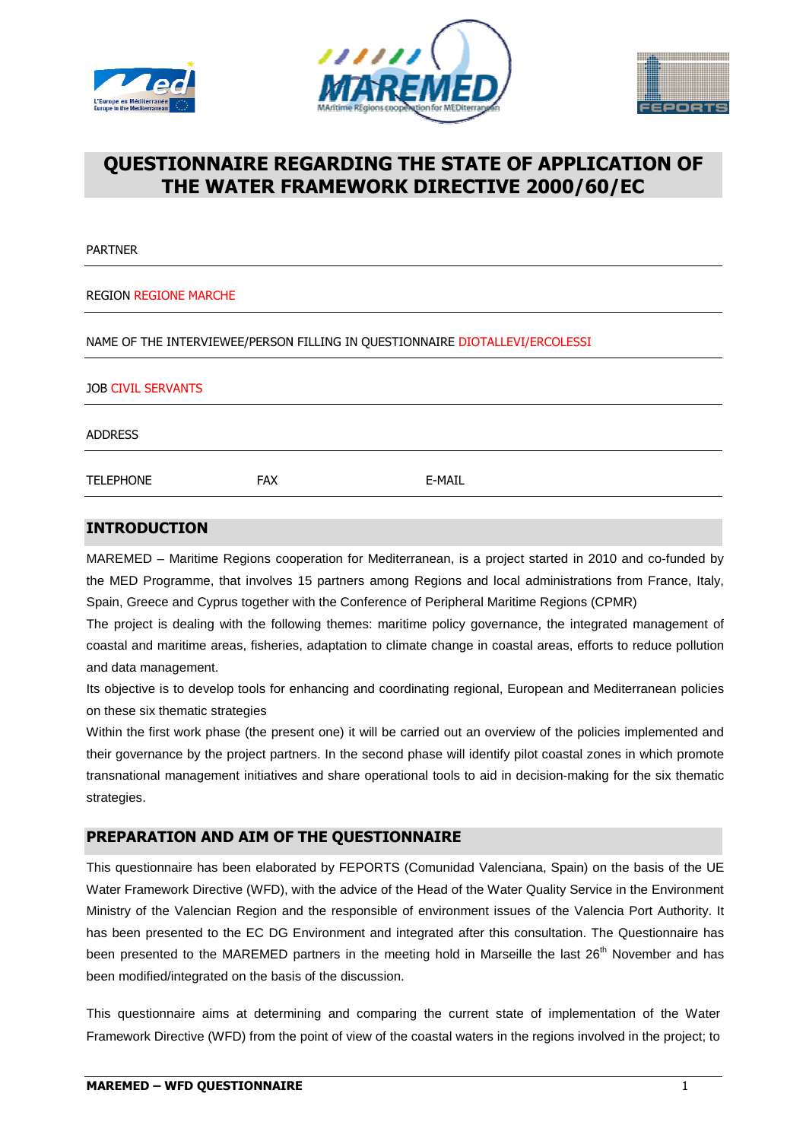





# **QUESTIONNAIRE REGARDING THE STATE OF APPLICATION OF THE WATER FRAMEWORK DIRECTIVE 2000/60/ 2000/60/EC**

PARTNER

#### REGION REGIONE MARCHE

NAME OF THE INTERVIEWEE/PERSON FILLING IN QUESTIONNAIRE DIOTALLEVI/ERCOLESSI

| <b>JOB CIVIL SERVANTS</b> |            |        |  |  |
|---------------------------|------------|--------|--|--|
| <b>ADDRESS</b>            |            |        |  |  |
| <b>TELEPHONE</b>          | <b>FAX</b> | E-MAIL |  |  |

### **INTRODUCTION**

MAREMED – Maritime Regions cooperation for Mediterranean, is a project started in 2010 and co-funded by the MED Programme, that involves 15 partners among Regions and local administrations from France, Italy, Spain, Greece and Cyprus together with the Conference of Peripheral Maritime Regions Regions (CPMR)

The project is dealing with the following themes: maritime policy governance, the integrated management of coastal and maritime areas, fisheries, adaptation to climate change in coastal areas, efforts to reduce pollution and data management.

Its objective is to develop tools for enhancing and coordinating regional, European and Mediterranean Mediterranean policies on these six thematic strategies

Within the first work phase (the present one) it will be carried out an overview of the policies implemented and their governance by the project partners. In the second phase will identify pilot coastal zones in which promote transnational management initiatives and share operational tools to aid in decision strategies. transnational management initiatives and share operational tools to aid in decision-making for the six thematic<br>strategies.<br>**PREPARATION AND AIM OF THE QUESTIONNAIRE**<br>This questionnaire has been elaborated by FEPORTS (Comu nd maritime areas, fisheries, adaptation to climate change in coastal areas, efforts to reduce pollution<br>management.<br>ive is to develop tools for enhancing and coordinating regional, European and Mediterranean policies<br>six

### **PREPARATION AND AIM OF OF THE QUESTIONNAIRE**

Water Framework Directive (WFD), with the advice of the Head of the Water Quality Service in the Environment Ministry of the Valencian Region and the responsible of environment issues of the Valencia Port Authority Authority. It has been presented to the EC DG Environment and integrated after this consultation. The Questionnaire has has been presented to the EC DG Environment and integrated after this consultation. The Questionnaire has<br>been presented to the MAREMED partners in the meeting hold in Marseille the last 26<sup>th</sup> November and has been modified/integrated on the basis of the discussion.

This questionnaire aims at determining and comparing the current state of implementation of the Water Framework Directive (WFD) from the point of view of the coastal waters in the regions involved in the project; to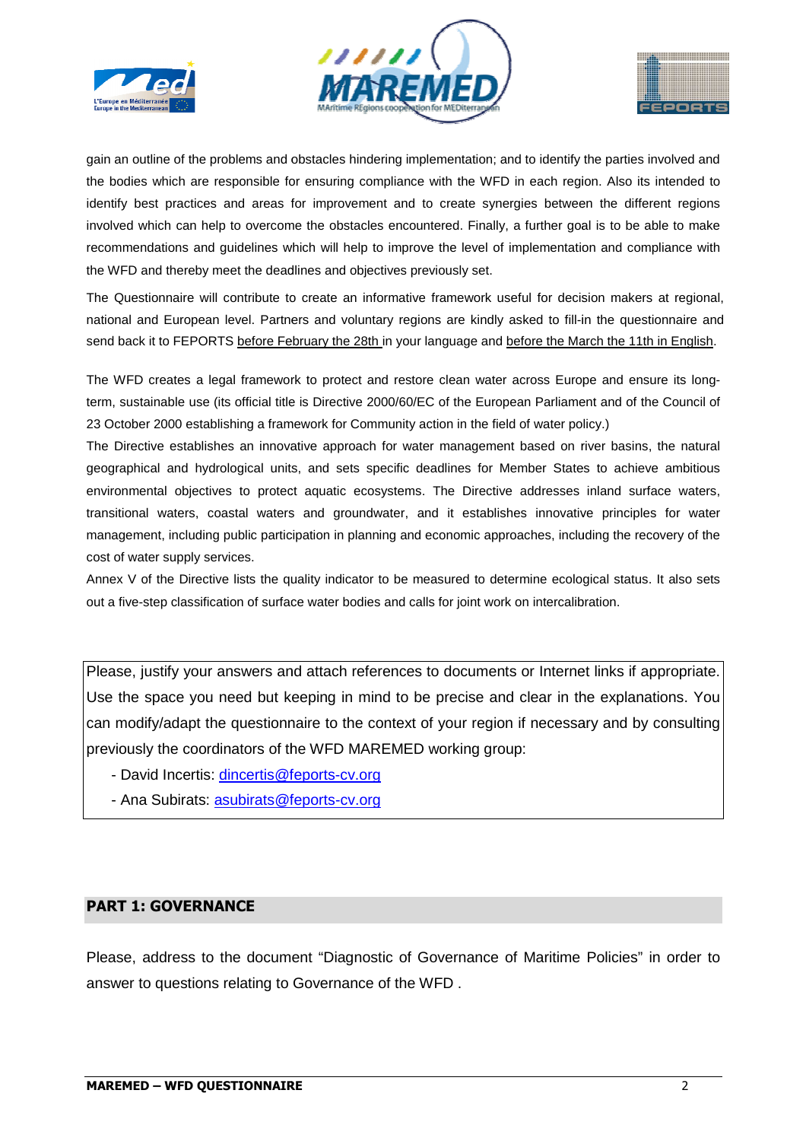





gain an outline of the problems and obstacles hindering implementation; and to identify the parties involved and the bodies which are responsible for ensuring compliance with the WFD in each region. Also its intended to identify best practices and areas for improvement and to create synergies between the different regions involved which can help to overcome the obstacles encountered. Finally, a further goal is to be able to make recommendations and guidelines which will help to improve the level of implementation and compliance with the WFD and thereby meet the deadlines and objectives previously set. r improvement and to create synergies between the different regions<br>the obstacles encountered. Finally, a further goal is to be able to make<br>ch will help to improve the level of implementation and compliance with<br>nes and o

The Questionnaire will contribute to create an informative framework useful for decision makers at regional, national and European level. Partners and voluntary regions are kindly asked to fill-in the questionnaire and send back it to FEPORTS before February the 28th in your language and before the March the 11th in English

The WFD creates a legal framework to protect and restore clean water across Europe and ensure its longterm, sustainable use (its official title is Directive 2000/60/EC of the European Parliament and of the Council of 23 October 2000 establishing a framework for Community action in the field of water policy.)

The Directive establishes an innovative approach for water management based on river basins, the natural geographical and hydrological units, and sets specific deadlines for Member States to achieve ambitious environmental objectives to protect aquatic ecosystems. The Directive addresses inland surface waters, transitional waters, coastal waters and groundwater, and it establishes innovative principles for water management, including public participation in planning and economic approaches, including the recovery of the cost of water supply services. systems. The Directive addresses inland surface waters,<br>water, and it establishes innovative principles for water<br>ning and economic approaches, including the recovery of the

Annex V of the Directive lists the quality indicator to be measured to determine ecological status. It also sets out a five-step classification of surface water bodies and calls for joint work on intercalibration.

Please, justify your answers and attach references to documents or Internet links if appropriate. Use the space you need but keeping in mind to be precise and clear in the explanations. You can modify/adapt the questionnaire to the context of your region if necessary and by consulting previously the coordinators of the WFD MAREMED working group:

- David Incertis: **dincertis@feports-cv.org**
- Ana Subirats: <u>asubirats@feports-cv.org</u>

# **PART 1: GOVERNANCE**

Please, address to the document "Diagnostic of Governance of Maritime Policies" in order to answer to questions relating to Governance of the WFD .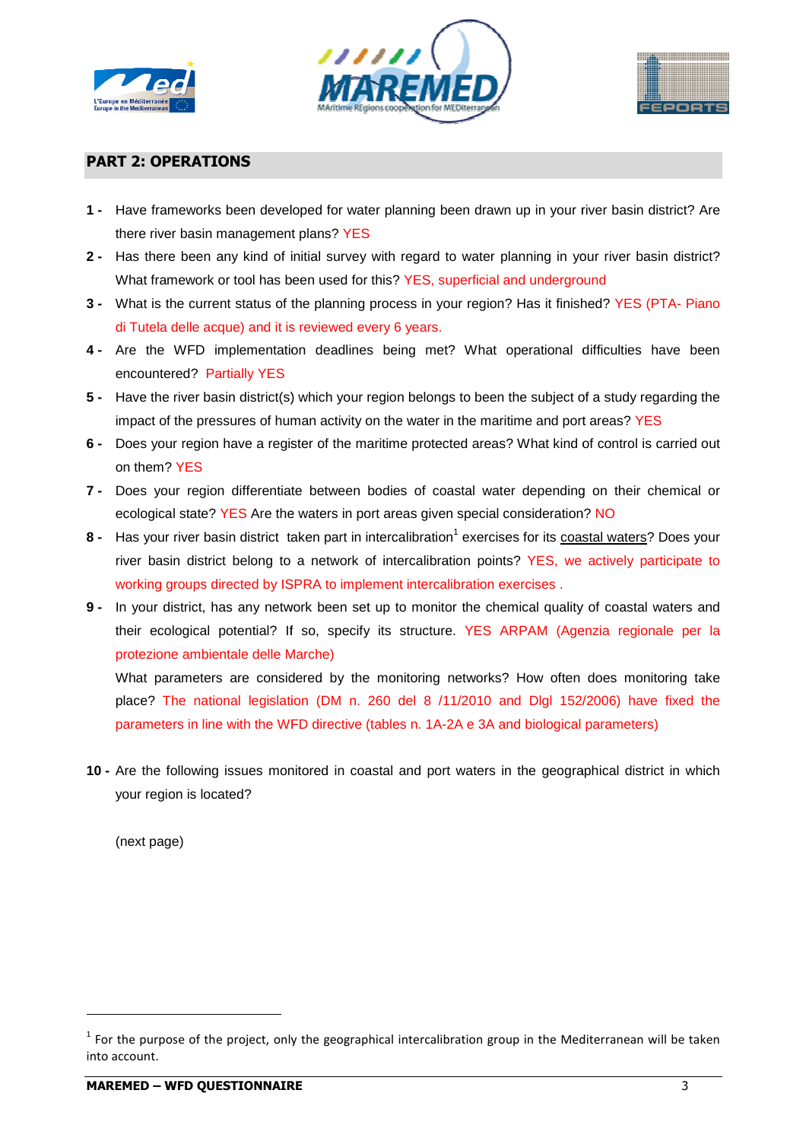





# **PART 2: OPERATIONS**

- **1** Have frameworks been developed for water planning been drawn up in your river basin district? Are there river basin management plans? YES
- **2** Has there been any kind of initial survey with regard to water planning in your river basin district? What framework or tool has been used for this? YES, superficial and underground
- **3** What is the current status of the planning process in your region? Has it finished? YES (PTA- Piano di Tutela delle acque) and it is reviewed every 6 years.
- **4** Are the WFD implementation deadlines being met? What operational difficulties have been encountered? Partially YES
- **5** Have the river basin district(s) which your region belongs to been the subject of a study regarding the impact of the pressures of human activity on the water in the maritime and port areas? YES
- **6** Does your region have a register of the maritime protected areas? What kind of control is carried out on them? YES
- **7** Does your region differentiate between bodies of coastal water depending on their chemical or ecological state? YES Are the waters in port areas given special consideration? NO
- 8 Has your river basin district taken part in intercalibration<sup>1</sup> exercises for its coastal waters? Does your river basin district belong to a network of intercalibration points? YES, we actively participate to working groups directed by ISPRA to implement intercalibration exercises.
- **9** In your district, has any network been set up to monitor the chemical quality of coastal waters and their ecological potential? If so, specify its structure. YES ARPAM (Agenzia regionale per la protezione ambientale delle Marche)

What parameters are considered by the monitoring networks? How often does monitoring take place? The national legislation (DM n. 260 del 8 /11/2010 and Dlgl 152/2006) have fixed the In your district, has any network been set up to monitor the chemical quality of coastal v<br>their ecological potential? If so, specify its structure. YES ARPAM (Agenzia regiona<br>protezione ambientale delle Marche)<br>What param

**10 -** Are the following issues monitored in coastal and port waters in the geographical district in which your region is located?

(next page)

l

 $1$  For the purpose of the project, only the geographical intercalibration group in the Mediterranean will be taken into account.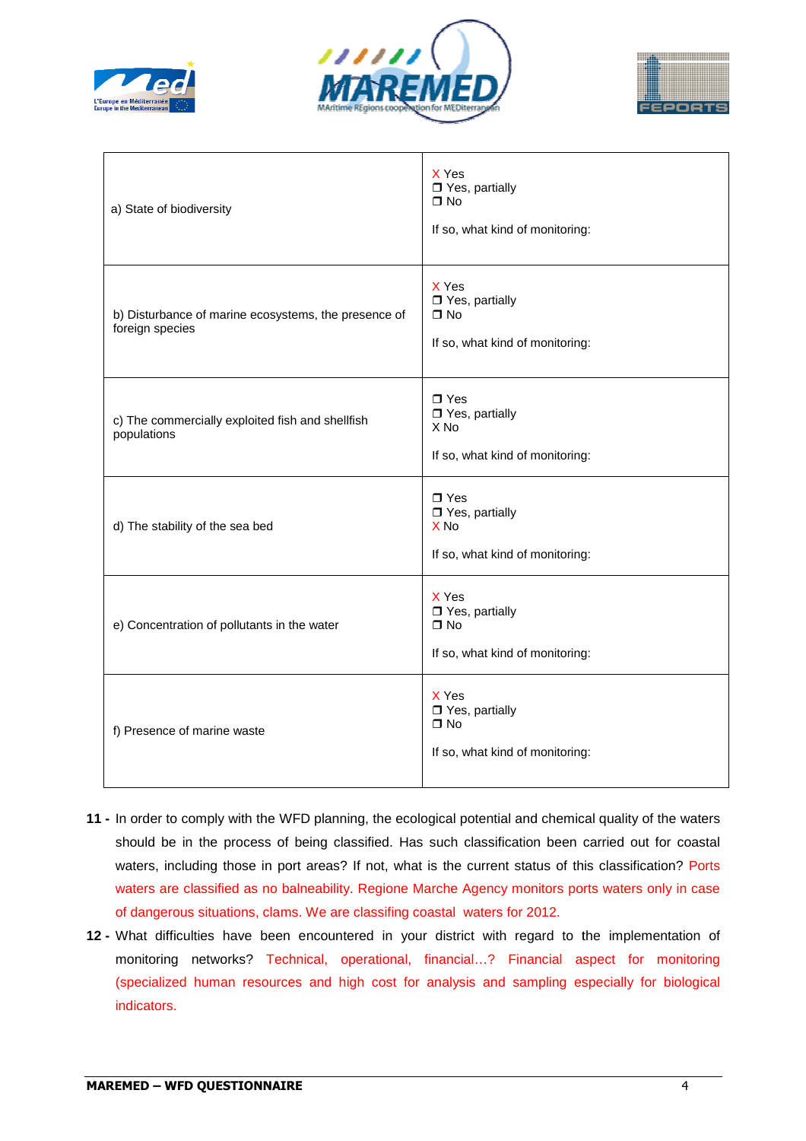





| a) State of biodiversity                                                | X Yes<br>□ Yes, partially<br>$\Box$ No<br>If so, what kind of monitoring:                 |  |
|-------------------------------------------------------------------------|-------------------------------------------------------------------------------------------|--|
| b) Disturbance of marine ecosystems, the presence of<br>foreign species | X Yes<br>□ Yes, partially<br>$\Box$ No<br>If so, what kind of monitoring:                 |  |
| c) The commercially exploited fish and shellfish<br>populations         | $\Box$ Yes<br>$\Box$ Yes, partially<br>X <sub>No</sub><br>If so, what kind of monitoring: |  |
| d) The stability of the sea bed                                         | $\Box$ Yes<br>$\Box$ Yes, partially<br>X <sub>No</sub><br>If so, what kind of monitoring: |  |
| e) Concentration of pollutants in the water                             | X Yes<br>□ Yes, partially<br>$\Box$ No<br>If so, what kind of monitoring:                 |  |
| f) Presence of marine waste                                             | X Yes<br>$\Box$ Yes, partially<br>$\Box$ No<br>If so, what kind of monitoring:            |  |

- **11** In order to comply with the WFD planning, the ecological potential and chemical quality of the waters should be in the process of being classified. Has such classification been carried out for coastal waters, including those in port areas? If not, what is the current status of this classification? Ports waters are classified as no balneability. Regione Marche Agency monitors ports waters only in case of dangerous situations, clams. We are classifing coastal waters for 2012.
- **12** What difficulties have been encountered in your district with regard to the implementation of monitoring networks? Technical, operational, financial…? Financial aspect for monitoring (specialized human resources and high cost for analysis and sampling especially for biological indicators.